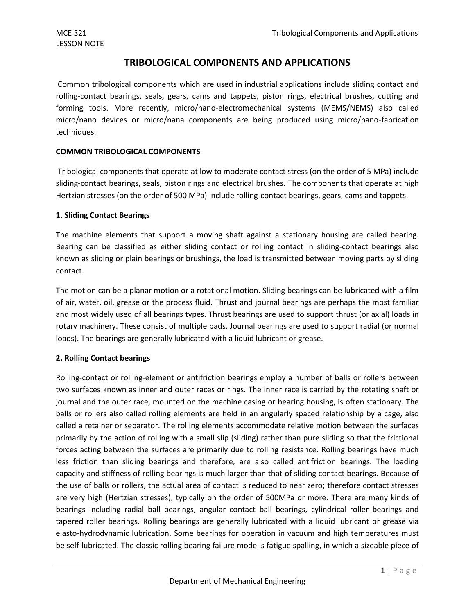### **TRIBOLOGICAL COMPONENTS AND APPLICATIONS**

Common tribological components which are used in industrial applications include sliding contact and rolling-contact bearings, seals, gears, cams and tappets, piston rings, electrical brushes, cutting and forming tools. More recently, micro/nano-electromechanical systems (MEMS/NEMS) also called micro/nano devices or micro/nana components are being produced using micro/nano-fabrication techniques.

#### **COMMON TRIBOLOGICAL COMPONENTS**

Tribological components that operate at low to moderate contact stress (on the order of 5 MPa) include sliding-contact bearings, seals, piston rings and electrical brushes. The components that operate at high Hertzian stresses (on the order of 500 MPa) include rolling-contact bearings, gears, cams and tappets.

#### **1. Sliding Contact Bearings**

The machine elements that support a moving shaft against a stationary housing are called bearing. Bearing can be classified as either sliding contact or rolling contact in sliding-contact bearings also known as sliding or plain bearings or brushings, the load is transmitted between moving parts by sliding contact.

The motion can be a planar motion or a rotational motion. Sliding bearings can be lubricated with a film of air, water, oil, grease or the process fluid. Thrust and journal bearings are perhaps the most familiar and most widely used of all bearings types. Thrust bearings are used to support thrust (or axial) loads in rotary machinery. These consist of multiple pads. Journal bearings are used to support radial (or normal loads). The bearings are generally lubricated with a liquid lubricant or grease.

#### **2. Rolling Contact bearings**

Rolling-contact or rolling-element or antifriction bearings employ a number of balls or rollers between two surfaces known as inner and outer races or rings. The inner race is carried by the rotating shaft or journal and the outer race, mounted on the machine casing or bearing housing, is often stationary. The balls or rollers also called rolling elements are held in an angularly spaced relationship by a cage, also called a retainer or separator. The rolling elements accommodate relative motion between the surfaces primarily by the action of rolling with a small slip (sliding) rather than pure sliding so that the frictional forces acting between the surfaces are primarily due to rolling resistance. Rolling bearings have much less friction than sliding bearings and therefore, are also called antifriction bearings. The loading capacity and stiffness of rolling bearings is much larger than that of sliding contact bearings. Because of the use of balls or rollers, the actual area of contact is reduced to near zero; therefore contact stresses are very high (Hertzian stresses), typically on the order of 500MPa or more. There are many kinds of bearings including radial ball bearings, angular contact ball bearings, cylindrical roller bearings and tapered roller bearings. Rolling bearings are generally lubricated with a liquid lubricant or grease via elasto-hydrodynamic lubrication. Some bearings for operation in vacuum and high temperatures must be self-lubricated. The classic rolling bearing failure mode is fatigue spalling, in which a sizeable piece of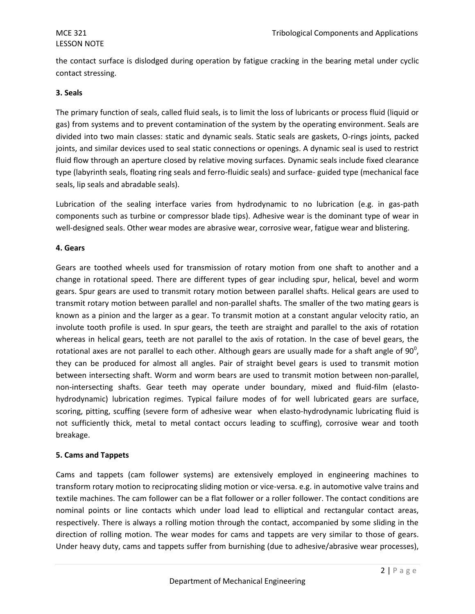## LESSON NOTE

the contact surface is dislodged during operation by fatigue cracking in the bearing metal under cyclic contact stressing.

#### **3. Seals**

The primary function of seals, called fluid seals, is to limit the loss of lubricants or process fluid (liquid or gas) from systems and to prevent contamination of the system by the operating environment. Seals are divided into two main classes: static and dynamic seals. Static seals are gaskets, O-rings joints, packed joints, and similar devices used to seal static connections or openings. A dynamic seal is used to restrict fluid flow through an aperture closed by relative moving surfaces. Dynamic seals include fixed clearance type (labyrinth seals, floating ring seals and ferro-fluidic seals) and surface- guided type (mechanical face seals, lip seals and abradable seals).

Lubrication of the sealing interface varies from hydrodynamic to no lubrication (e.g. in gas-path components such as turbine or compressor blade tips). Adhesive wear is the dominant type of wear in well-designed seals. Other wear modes are abrasive wear, corrosive wear, fatigue wear and blistering.

#### **4. Gears**

Gears are toothed wheels used for transmission of rotary motion from one shaft to another and a change in rotational speed. There are different types of gear including spur, helical, bevel and worm gears. Spur gears are used to transmit rotary motion between parallel shafts. Helical gears are used to transmit rotary motion between parallel and non-parallel shafts. The smaller of the two mating gears is known as a pinion and the larger as a gear. To transmit motion at a constant angular velocity ratio, an involute tooth profile is used. In spur gears, the teeth are straight and parallel to the axis of rotation whereas in helical gears, teeth are not parallel to the axis of rotation. In the case of bevel gears, the rotational axes are not parallel to each other. Although gears are usually made for a shaft angle of 90 $^0$ , they can be produced for almost all angles. Pair of straight bevel gears is used to transmit motion between intersecting shaft. Worm and worm bears are used to transmit motion between non-parallel, non-intersecting shafts. Gear teeth may operate under boundary, mixed and fluid-film (elastohydrodynamic) lubrication regimes. Typical failure modes of for well lubricated gears are surface, scoring, pitting, scuffing (severe form of adhesive wear when elasto-hydrodynamic lubricating fluid is not sufficiently thick, metal to metal contact occurs leading to scuffing), corrosive wear and tooth breakage.

#### **5. Cams and Tappets**

Cams and tappets (cam follower systems) are extensively employed in engineering machines to transform rotary motion to reciprocating sliding motion or vice-versa. e.g. in automotive valve trains and textile machines. The cam follower can be a flat follower or a roller follower. The contact conditions are nominal points or line contacts which under load lead to elliptical and rectangular contact areas, respectively. There is always a rolling motion through the contact, accompanied by some sliding in the direction of rolling motion. The wear modes for cams and tappets are very similar to those of gears. Under heavy duty, cams and tappets suffer from burnishing (due to adhesive/abrasive wear processes),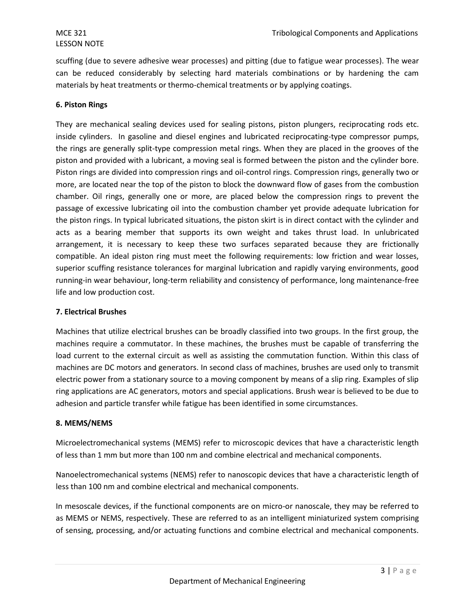## LESSON NOTE

scuffing (due to severe adhesive wear processes) and pitting (due to fatigue wear processes). The wear can be reduced considerably by selecting hard materials combinations or by hardening the cam materials by heat treatments or thermo-chemical treatments or by applying coatings.

#### **6. Piston Rings**

They are mechanical sealing devices used for sealing pistons, piston plungers, reciprocating rods etc. inside cylinders. In gasoline and diesel engines and lubricated reciprocating-type compressor pumps, the rings are generally split-type compression metal rings. When they are placed in the grooves of the piston and provided with a lubricant, a moving seal is formed between the piston and the cylinder bore. Piston rings are divided into compression rings and oil-control rings. Compression rings, generally two or more, are located near the top of the piston to block the downward flow of gases from the combustion chamber. Oil rings, generally one or more, are placed below the compression rings to prevent the passage of excessive lubricating oil into the combustion chamber yet provide adequate lubrication for the piston rings. In typical lubricated situations, the piston skirt is in direct contact with the cylinder and acts as a bearing member that supports its own weight and takes thrust load. In unlubricated arrangement, it is necessary to keep these two surfaces separated because they are frictionally compatible. An ideal piston ring must meet the following requirements: low friction and wear losses, superior scuffing resistance tolerances for marginal lubrication and rapidly varying environments, good running-in wear behaviour, long-term reliability and consistency of performance, long maintenance-free life and low production cost.

#### **7. Electrical Brushes**

Machines that utilize electrical brushes can be broadly classified into two groups. In the first group, the machines require a commutator. In these machines, the brushes must be capable of transferring the load current to the external circuit as well as assisting the commutation function. Within this class of machines are DC motors and generators. In second class of machines, brushes are used only to transmit electric power from a stationary source to a moving component by means of a slip ring. Examples of slip ring applications are AC generators, motors and special applications. Brush wear is believed to be due to adhesion and particle transfer while fatigue has been identified in some circumstances.

### **8. MEMS/NEMS**

Microelectromechanical systems (MEMS) refer to microscopic devices that have a characteristic length of less than 1 mm but more than 100 nm and combine electrical and mechanical components.

Nanoelectromechanical systems (NEMS) refer to nanoscopic devices that have a characteristic length of less than 100 nm and combine electrical and mechanical components.

In mesoscale devices, if the functional components are on micro-or nanoscale, they may be referred to as MEMS or NEMS, respectively. These are referred to as an intelligent miniaturized system comprising of sensing, processing, and/or actuating functions and combine electrical and mechanical components.